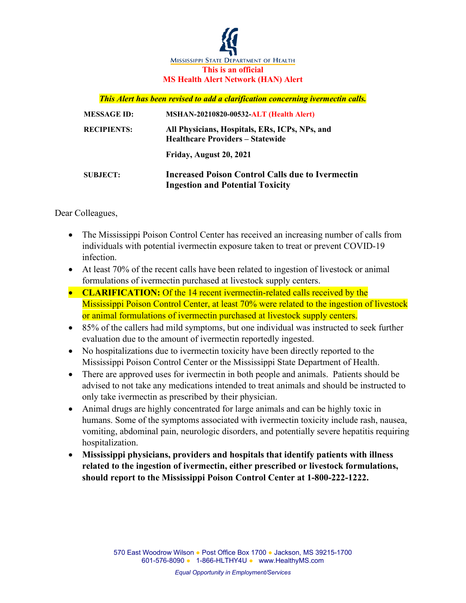

## *This Alert has been revised to add a clarification concerning ivermectin calls.*

| <b>MESSAGE ID:</b> | <b>MSHAN-20210820-00532-ALT (Health Alert)</b>                                                     |
|--------------------|----------------------------------------------------------------------------------------------------|
| <b>RECIPIENTS:</b> | All Physicians, Hospitals, ERs, ICPs, NPs, and<br><b>Healthcare Providers – Statewide</b>          |
|                    | Friday, August 20, 2021                                                                            |
| <b>SUBJECT:</b>    | <b>Increased Poison Control Calls due to Ivermectin</b><br><b>Ingestion and Potential Toxicity</b> |

Dear Colleagues,

- The Mississippi Poison Control Center has received an increasing number of calls from individuals with potential ivermectin exposure taken to treat or prevent COVID-19 infection.
- At least 70% of the recent calls have been related to ingestion of livestock or animal formulations of ivermectin purchased at livestock supply centers.
- **CLARIFICATION:** Of the 14 recent ivermectin-related calls received by the Mississippi Poison Control Center, at least 70% were related to the ingestion of livestock or animal formulations of ivermectin purchased at livestock supply centers.
- 85% of the callers had mild symptoms, but one individual was instructed to seek further evaluation due to the amount of ivermectin reportedly ingested.
- No hospitalizations due to ivermectin toxicity have been directly reported to the Mississippi Poison Control Center or the Mississippi State Department of Health.
- There are approved uses for ivermectin in both people and animals. Patients should be advised to not take any medications intended to treat animals and should be instructed to only take ivermectin as prescribed by their physician.
- Animal drugs are highly concentrated for large animals and can be highly toxic in humans. Some of the symptoms associated with ivermectin toxicity include rash, nausea, vomiting, abdominal pain, neurologic disorders, and potentially severe hepatitis requiring hospitalization.
- **Mississippi physicians, providers and hospitals that identify patients with illness related to the ingestion of ivermectin, either prescribed or livestock formulations, should report to the Mississippi Poison Control Center at 1-800-222-1222.**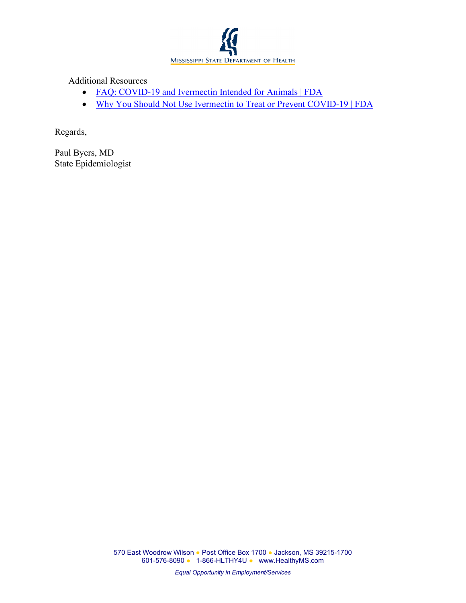

Additional Resources

- [FAQ: COVID-19 and Ivermectin Intended for Animals | FDA](https://www.fda.gov/animal-veterinary/product-safety-information/faq-covid-19-and-ivermectin-intended-animals)
- [Why You Should Not Use Ivermectin to Treat or Prevent](https://www.fda.gov/consumers/consumer-updates/why-you-should-not-use-ivermectin-treat-or-prevent-covid-19) COVID-19 | FDA

Regards,

Paul Byers, MD State Epidemiologist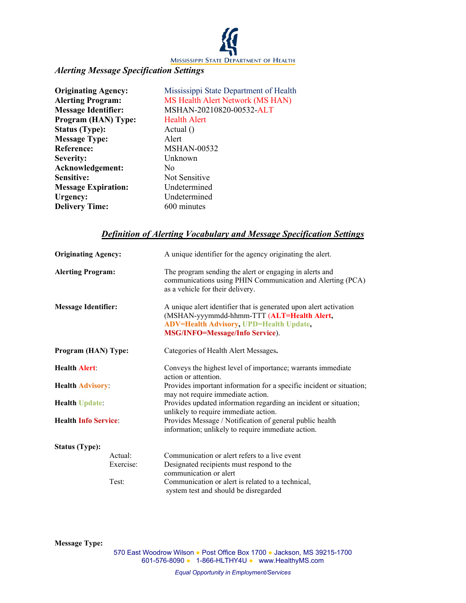

## *Alerting Message Specification Settings*

| <b>Originating Agency:</b> | Mississippi State Department of Health |
|----------------------------|----------------------------------------|
| <b>Alerting Program:</b>   | MS Health Alert Network (MS HAN)       |
| <b>Message Identifier:</b> | MSHAN-20210820-00532-ALT               |
| Program (HAN) Type:        | <b>Health Alert</b>                    |
| <b>Status (Type):</b>      | Actual $()$                            |
| <b>Message Type:</b>       | Alert                                  |
| <b>Reference:</b>          | <b>MSHAN-00532</b>                     |
| Severity:                  | Unknown                                |
| Acknowledgement:           | No                                     |
| Sensitive:                 | Not Sensitive                          |
| <b>Message Expiration:</b> | Undetermined                           |
| Urgency:                   | Undetermined                           |
| <b>Delivery Time:</b>      | 600 minutes                            |

## *Definition of Alerting Vocabulary and Message Specification Settings*

| <b>Originating Agency:</b>  | A unique identifier for the agency originating the alert.                                                                                                                                                   |
|-----------------------------|-------------------------------------------------------------------------------------------------------------------------------------------------------------------------------------------------------------|
| <b>Alerting Program:</b>    | The program sending the alert or engaging in alerts and<br>communications using PHIN Communication and Alerting (PCA)<br>as a vehicle for their delivery.                                                   |
| <b>Message Identifier:</b>  | A unique alert identifier that is generated upon alert activation<br>(MSHAN-yyymmdd-hhmm-TTT (ALT=Health Alert,<br><b>ADV=Health Advisory, UPD=Health Update,</b><br><b>MSG/INFO=Message/Info Service).</b> |
| Program (HAN) Type:         | Categories of Health Alert Messages.                                                                                                                                                                        |
| <b>Health Alert:</b>        | Conveys the highest level of importance; warrants immediate<br>action or attention.                                                                                                                         |
| <b>Health Advisory:</b>     | Provides important information for a specific incident or situation;<br>may not require immediate action.                                                                                                   |
| <b>Health Update:</b>       | Provides updated information regarding an incident or situation;<br>unlikely to require immediate action.                                                                                                   |
| <b>Health Info Service:</b> | Provides Message / Notification of general public health<br>information; unlikely to require immediate action.                                                                                              |
| <b>Status (Type):</b>       |                                                                                                                                                                                                             |
| Actual:                     | Communication or alert refers to a live event                                                                                                                                                               |
| Exercise:                   | Designated recipients must respond to the<br>communication or alert                                                                                                                                         |
| Test:                       | Communication or alert is related to a technical,<br>system test and should be disregarded                                                                                                                  |

**Message Type:**